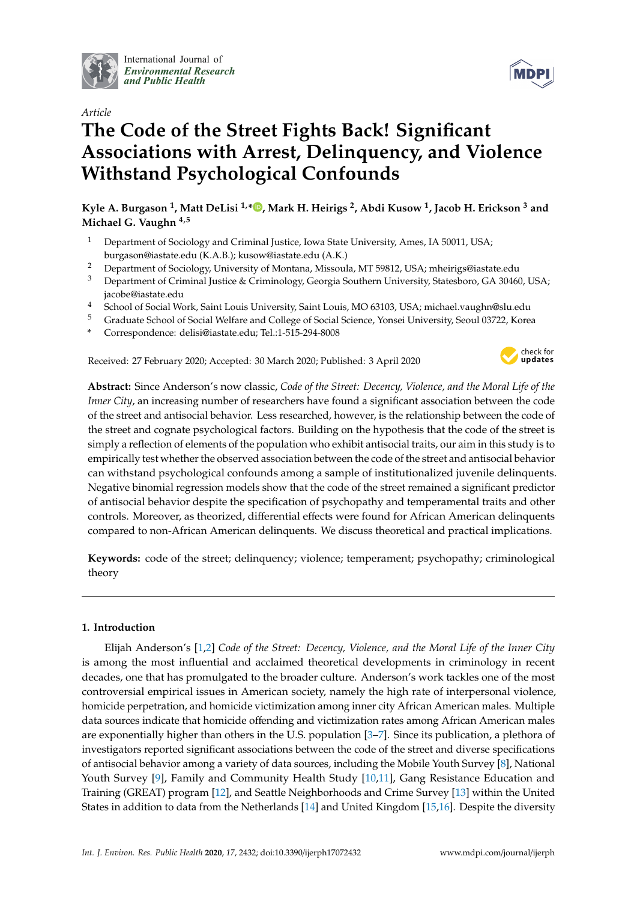

International Journal of *[Environmental Research](http://www.mdpi.com/journal/ijerph) and Public Health*



# **The Code of the Street Fights Back! Significant Associations with Arrest, Delinquency, and Violence Withstand Psychological Confounds**

**Kyle A. Burgason <sup>1</sup> , Matt DeLisi 1,[\\*](https://orcid.org/0000-0001-5964-5848) , Mark H. Heirigs <sup>2</sup> , Abdi Kusow <sup>1</sup> , Jacob H. Erickson <sup>3</sup> and Michael G. Vaughn 4,5**

- <sup>1</sup> Department of Sociology and Criminal Justice, Iowa State University, Ames, IA 50011, USA; burgason@iastate.edu (K.A.B.); kusow@iastate.edu (A.K.)
- <sup>2</sup> Department of Sociology, University of Montana, Missoula, MT 59812, USA; mheirigs@iastate.edu
- <sup>3</sup> Department of Criminal Justice & Criminology, Georgia Southern University, Statesboro, GA 30460, USA; jacobe@iastate.edu
- <sup>4</sup> School of Social Work, Saint Louis University, Saint Louis, MO 63103, USA; michael.vaughn@slu.edu
- <sup>5</sup> Graduate School of Social Welfare and College of Social Science, Yonsei University, Seoul 03722, Korea
- **\*** Correspondence: delisi@iastate.edu; Tel.:1-515-294-8008

Received: 27 February 2020; Accepted: 30 March 2020; Published: 3 April 2020



**Abstract:** Since Anderson's now classic, *Code of the Street: Decency, Violence, and the Moral Life of the Inner City*, an increasing number of researchers have found a significant association between the code of the street and antisocial behavior. Less researched, however, is the relationship between the code of the street and cognate psychological factors. Building on the hypothesis that the code of the street is simply a reflection of elements of the population who exhibit antisocial traits, our aim in this study is to empirically test whether the observed association between the code of the street and antisocial behavior can withstand psychological confounds among a sample of institutionalized juvenile delinquents. Negative binomial regression models show that the code of the street remained a significant predictor of antisocial behavior despite the specification of psychopathy and temperamental traits and other controls. Moreover, as theorized, differential effects were found for African American delinquents compared to non-African American delinquents. We discuss theoretical and practical implications.

**Keywords:** code of the street; delinquency; violence; temperament; psychopathy; criminological theory

## **1. Introduction**

Elijah Anderson's [\[1,](#page-10-0)[2\]](#page-10-1) *Code of the Street: Decency, Violence, and the Moral Life of the Inner City* is among the most influential and acclaimed theoretical developments in criminology in recent decades, one that has promulgated to the broader culture. Anderson's work tackles one of the most controversial empirical issues in American society, namely the high rate of interpersonal violence, homicide perpetration, and homicide victimization among inner city African American males. Multiple data sources indicate that homicide offending and victimization rates among African American males are exponentially higher than others in the U.S. population [\[3–](#page-10-2)[7\]](#page-10-3). Since its publication, a plethora of investigators reported significant associations between the code of the street and diverse specifications of antisocial behavior among a variety of data sources, including the Mobile Youth Survey [\[8\]](#page-10-4), National Youth Survey [\[9\]](#page-10-5), Family and Community Health Study [\[10](#page-10-6)[,11\]](#page-10-7), Gang Resistance Education and Training (GREAT) program [\[12\]](#page-10-8), and Seattle Neighborhoods and Crime Survey [\[13\]](#page-10-9) within the United States in addition to data from the Netherlands [\[14\]](#page-10-10) and United Kingdom [\[15](#page-10-11)[,16\]](#page-10-12). Despite the diversity

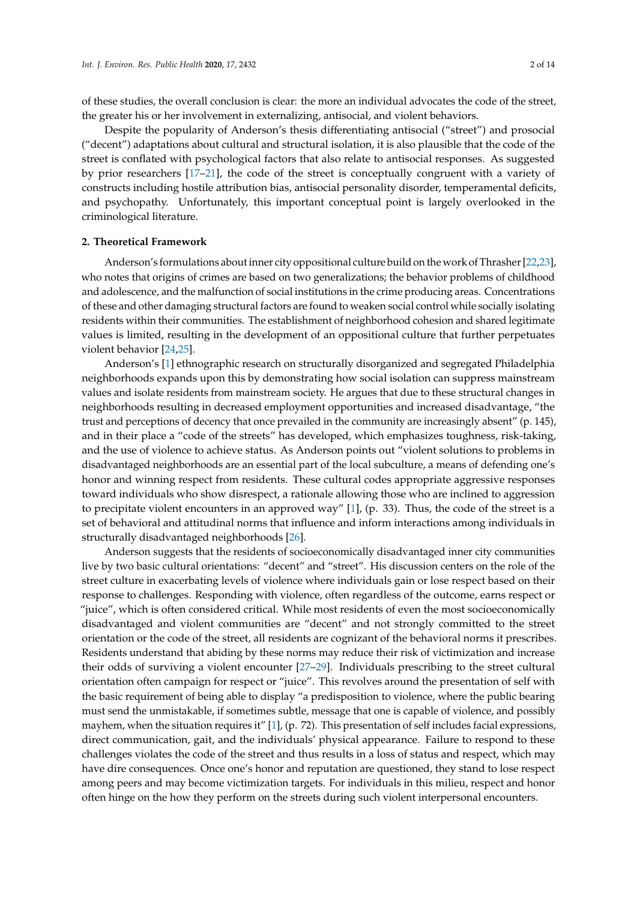of these studies, the overall conclusion is clear: the more an individual advocates the code of the street, the greater his or her involvement in externalizing, antisocial, and violent behaviors.

Despite the popularity of Anderson's thesis differentiating antisocial ("street") and prosocial ("decent") adaptations about cultural and structural isolation, it is also plausible that the code of the street is conflated with psychological factors that also relate to antisocial responses. As suggested by prior researchers [\[17–](#page-10-13)[21\]](#page-10-14), the code of the street is conceptually congruent with a variety of constructs including hostile attribution bias, antisocial personality disorder, temperamental deficits, and psychopathy. Unfortunately, this important conceptual point is largely overlooked in the criminological literature.

#### **2. Theoretical Framework**

Anderson's formulations about inner city oppositional culture build on the work of Thrasher [\[22](#page-11-0)[,23\]](#page-11-1), who notes that origins of crimes are based on two generalizations; the behavior problems of childhood and adolescence, and the malfunction of social institutions in the crime producing areas. Concentrations of these and other damaging structural factors are found to weaken social control while socially isolating residents within their communities. The establishment of neighborhood cohesion and shared legitimate values is limited, resulting in the development of an oppositional culture that further perpetuates violent behavior [\[24,](#page-11-2)[25\]](#page-11-3).

Anderson's [\[1\]](#page-10-0) ethnographic research on structurally disorganized and segregated Philadelphia neighborhoods expands upon this by demonstrating how social isolation can suppress mainstream values and isolate residents from mainstream society. He argues that due to these structural changes in neighborhoods resulting in decreased employment opportunities and increased disadvantage, "the trust and perceptions of decency that once prevailed in the community are increasingly absent" (p. 145), and in their place a "code of the streets" has developed, which emphasizes toughness, risk-taking, and the use of violence to achieve status. As Anderson points out "violent solutions to problems in disadvantaged neighborhoods are an essential part of the local subculture, a means of defending one's honor and winning respect from residents. These cultural codes appropriate aggressive responses toward individuals who show disrespect, a rationale allowing those who are inclined to aggression to precipitate violent encounters in an approved way" [\[1\]](#page-10-0), (p. 33). Thus, the code of the street is a set of behavioral and attitudinal norms that influence and inform interactions among individuals in structurally disadvantaged neighborhoods [\[26\]](#page-11-4).

Anderson suggests that the residents of socioeconomically disadvantaged inner city communities live by two basic cultural orientations: "decent" and "street". His discussion centers on the role of the street culture in exacerbating levels of violence where individuals gain or lose respect based on their response to challenges. Responding with violence, often regardless of the outcome, earns respect or "juice", which is often considered critical. While most residents of even the most socioeconomically disadvantaged and violent communities are "decent" and not strongly committed to the street orientation or the code of the street, all residents are cognizant of the behavioral norms it prescribes. Residents understand that abiding by these norms may reduce their risk of victimization and increase their odds of surviving a violent encounter [\[27](#page-11-5)[–29\]](#page-11-6). Individuals prescribing to the street cultural orientation often campaign for respect or "juice". This revolves around the presentation of self with the basic requirement of being able to display "a predisposition to violence, where the public bearing must send the unmistakable, if sometimes subtle, message that one is capable of violence, and possibly mayhem, when the situation requires it" [\[1\]](#page-10-0), (p. 72). This presentation of self includes facial expressions, direct communication, gait, and the individuals' physical appearance. Failure to respond to these challenges violates the code of the street and thus results in a loss of status and respect, which may have dire consequences. Once one's honor and reputation are questioned, they stand to lose respect among peers and may become victimization targets. For individuals in this milieu, respect and honor often hinge on the how they perform on the streets during such violent interpersonal encounters.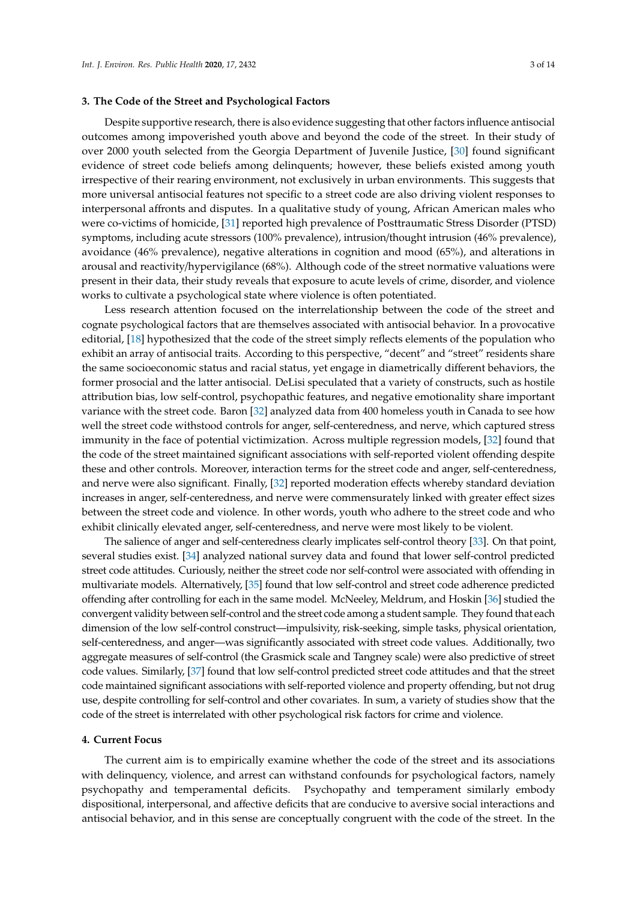#### **3. The Code of the Street and Psychological Factors**

Despite supportive research, there is also evidence suggesting that other factors influence antisocial outcomes among impoverished youth above and beyond the code of the street. In their study of over 2000 youth selected from the Georgia Department of Juvenile Justice, [\[30\]](#page-11-7) found significant evidence of street code beliefs among delinquents; however, these beliefs existed among youth irrespective of their rearing environment, not exclusively in urban environments. This suggests that more universal antisocial features not specific to a street code are also driving violent responses to interpersonal affronts and disputes. In a qualitative study of young, African American males who were co-victims of homicide, [\[31\]](#page-11-8) reported high prevalence of Posttraumatic Stress Disorder (PTSD) symptoms, including acute stressors (100% prevalence), intrusion/thought intrusion (46% prevalence), avoidance (46% prevalence), negative alterations in cognition and mood (65%), and alterations in arousal and reactivity/hypervigilance (68%). Although code of the street normative valuations were present in their data, their study reveals that exposure to acute levels of crime, disorder, and violence works to cultivate a psychological state where violence is often potentiated.

Less research attention focused on the interrelationship between the code of the street and cognate psychological factors that are themselves associated with antisocial behavior. In a provocative editorial, [\[18\]](#page-10-15) hypothesized that the code of the street simply reflects elements of the population who exhibit an array of antisocial traits. According to this perspective, "decent" and "street" residents share the same socioeconomic status and racial status, yet engage in diametrically different behaviors, the former prosocial and the latter antisocial. DeLisi speculated that a variety of constructs, such as hostile attribution bias, low self-control, psychopathic features, and negative emotionality share important variance with the street code. Baron [\[32\]](#page-11-9) analyzed data from 400 homeless youth in Canada to see how well the street code withstood controls for anger, self-centeredness, and nerve, which captured stress immunity in the face of potential victimization. Across multiple regression models, [\[32\]](#page-11-9) found that the code of the street maintained significant associations with self-reported violent offending despite these and other controls. Moreover, interaction terms for the street code and anger, self-centeredness, and nerve were also significant. Finally, [\[32\]](#page-11-9) reported moderation effects whereby standard deviation increases in anger, self-centeredness, and nerve were commensurately linked with greater effect sizes between the street code and violence. In other words, youth who adhere to the street code and who exhibit clinically elevated anger, self-centeredness, and nerve were most likely to be violent.

The salience of anger and self-centeredness clearly implicates self-control theory [\[33\]](#page-11-10). On that point, several studies exist. [\[34\]](#page-11-11) analyzed national survey data and found that lower self-control predicted street code attitudes. Curiously, neither the street code nor self-control were associated with offending in multivariate models. Alternatively, [\[35\]](#page-11-12) found that low self-control and street code adherence predicted offending after controlling for each in the same model. McNeeley, Meldrum, and Hoskin [\[36\]](#page-11-13) studied the convergent validity between self-control and the street code among a student sample. They found that each dimension of the low self-control construct—impulsivity, risk-seeking, simple tasks, physical orientation, self-centeredness, and anger—was significantly associated with street code values. Additionally, two aggregate measures of self-control (the Grasmick scale and Tangney scale) were also predictive of street code values. Similarly, [\[37\]](#page-11-14) found that low self-control predicted street code attitudes and that the street code maintained significant associations with self-reported violence and property offending, but not drug use, despite controlling for self-control and other covariates. In sum, a variety of studies show that the code of the street is interrelated with other psychological risk factors for crime and violence.

#### **4. Current Focus**

The current aim is to empirically examine whether the code of the street and its associations with delinquency, violence, and arrest can withstand confounds for psychological factors, namely psychopathy and temperamental deficits. Psychopathy and temperament similarly embody dispositional, interpersonal, and affective deficits that are conducive to aversive social interactions and antisocial behavior, and in this sense are conceptually congruent with the code of the street. In the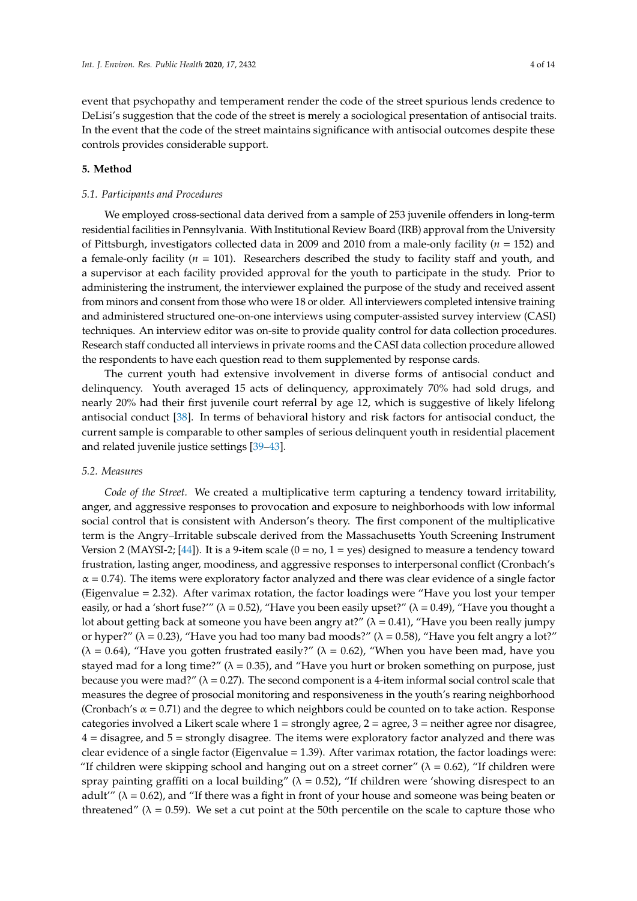event that psychopathy and temperament render the code of the street spurious lends credence to DeLisi's suggestion that the code of the street is merely a sociological presentation of antisocial traits. In the event that the code of the street maintains significance with antisocial outcomes despite these controls provides considerable support.

## **5. Method**

#### *5.1. Participants and Procedures*

We employed cross-sectional data derived from a sample of 253 juvenile offenders in long-term residential facilities in Pennsylvania. With Institutional Review Board (IRB) approval from the University of Pittsburgh, investigators collected data in 2009 and 2010 from a male-only facility (*n* = 152) and a female-only facility (*n* = 101). Researchers described the study to facility staff and youth, and a supervisor at each facility provided approval for the youth to participate in the study. Prior to administering the instrument, the interviewer explained the purpose of the study and received assent from minors and consent from those who were 18 or older. All interviewers completed intensive training and administered structured one-on-one interviews using computer-assisted survey interview (CASI) techniques. An interview editor was on-site to provide quality control for data collection procedures. Research staff conducted all interviews in private rooms and the CASI data collection procedure allowed the respondents to have each question read to them supplemented by response cards.

The current youth had extensive involvement in diverse forms of antisocial conduct and delinquency. Youth averaged 15 acts of delinquency, approximately 70% had sold drugs, and nearly 20% had their first juvenile court referral by age 12, which is suggestive of likely lifelong antisocial conduct [\[38\]](#page-11-15). In terms of behavioral history and risk factors for antisocial conduct, the current sample is comparable to other samples of serious delinquent youth in residential placement and related juvenile justice settings [\[39–](#page-11-16)[43\]](#page-11-17).

#### *5.2. Measures*

*Code of the Street.* We created a multiplicative term capturing a tendency toward irritability, anger, and aggressive responses to provocation and exposure to neighborhoods with low informal social control that is consistent with Anderson's theory. The first component of the multiplicative term is the Angry–Irritable subscale derived from the Massachusetts Youth Screening Instrument Version 2 (MAYSI-2;  $[44]$ ). It is a 9-item scale (0 = no, 1 = yes) designed to measure a tendency toward frustration, lasting anger, moodiness, and aggressive responses to interpersonal conflict (Cronbach's  $\alpha$  = 0.74). The items were exploratory factor analyzed and there was clear evidence of a single factor (Eigenvalue = 2.32). After varimax rotation, the factor loadings were "Have you lost your temper easily, or had a 'short fuse?'" ( $\lambda = 0.52$ ), "Have you been easily upset?" ( $\lambda = 0.49$ ), "Have you thought a lot about getting back at someone you have been angry at?" ( $\lambda = 0.41$ ), "Have you been really jumpy or hyper?" ( $\lambda$  = 0.23), "Have you had too many bad moods?" ( $\lambda$  = 0.58), "Have you felt angry a lot?"  $(\lambda = 0.64)$ , "Have you gotten frustrated easily?" ( $\lambda = 0.62$ ), "When you have been mad, have you stayed mad for a long time?" ( $\lambda = 0.35$ ), and "Have you hurt or broken something on purpose, just because you were mad?" ( $\lambda = 0.27$ ). The second component is a 4-item informal social control scale that measures the degree of prosocial monitoring and responsiveness in the youth's rearing neighborhood (Cronbach's  $\alpha$  = 0.71) and the degree to which neighbors could be counted on to take action. Response categories involved a Likert scale where  $1 =$  strongly agree,  $2 =$  agree,  $3 =$  neither agree nor disagree,  $4 =$  disagree, and  $5 =$  strongly disagree. The items were exploratory factor analyzed and there was clear evidence of a single factor (Eigenvalue  $= 1.39$ ). After varimax rotation, the factor loadings were: "If children were skipping school and hanging out on a street corner" ( $\lambda = 0.62$ ), "If children were spray painting graffiti on a local building" ( $\lambda = 0.52$ ), "If children were 'showing disrespect to an adult''' ( $\lambda = 0.62$ ), and "If there was a fight in front of your house and someone was being beaten or threatened" ( $\lambda = 0.59$ ). We set a cut point at the 50th percentile on the scale to capture those who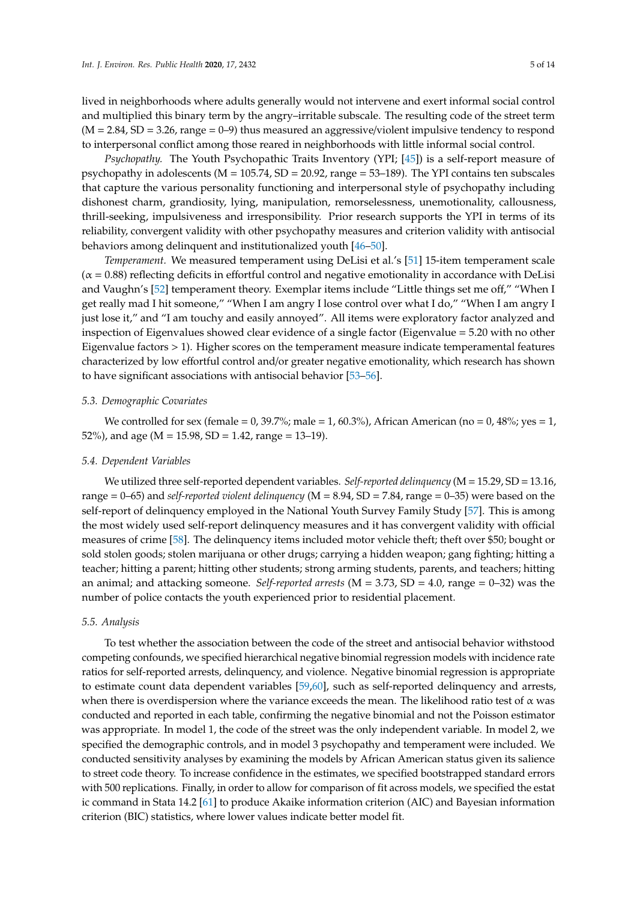lived in neighborhoods where adults generally would not intervene and exert informal social control and multiplied this binary term by the angry–irritable subscale. The resulting code of the street term  $(M = 2.84, SD = 3.26, range = 0-9)$  thus measured an aggressive/violent impulsive tendency to respond to interpersonal conflict among those reared in neighborhoods with little informal social control.

*Psychopathy.* The Youth Psychopathic Traits Inventory (YPI; [\[45\]](#page-11-19)) is a self-report measure of psychopathy in adolescents ( $M = 105.74$ ,  $SD = 20.92$ , range = 53–189). The YPI contains ten subscales that capture the various personality functioning and interpersonal style of psychopathy including dishonest charm, grandiosity, lying, manipulation, remorselessness, unemotionality, callousness, thrill-seeking, impulsiveness and irresponsibility. Prior research supports the YPI in terms of its reliability, convergent validity with other psychopathy measures and criterion validity with antisocial behaviors among delinquent and institutionalized youth [\[46–](#page-12-0)[50\]](#page-12-1).

*Temperament.* We measured temperament using DeLisi et al.'s [\[51\]](#page-12-2) 15-item temperament scale  $(\alpha = 0.88)$  reflecting deficits in effortful control and negative emotionality in accordance with DeLisi and Vaughn's [\[52\]](#page-12-3) temperament theory. Exemplar items include "Little things set me off," "When I get really mad I hit someone," "When I am angry I lose control over what I do," "When I am angry I just lose it," and "I am touchy and easily annoyed". All items were exploratory factor analyzed and inspection of Eigenvalues showed clear evidence of a single factor (Eigenvalue = 5.20 with no other Eigenvalue factors > 1). Higher scores on the temperament measure indicate temperamental features characterized by low effortful control and/or greater negative emotionality, which research has shown to have significant associations with antisocial behavior [\[53–](#page-12-4)[56\]](#page-12-5).

#### *5.3. Demographic Covariates*

We controlled for sex (female = 0, 39.7%; male = 1, 60.3%), African American (no = 0, 48%; yes = 1, 52%), and age ( $M = 15.98$ , SD = 1.42, range = 13-19).

#### *5.4. Dependent Variables*

We utilized three self-reported dependent variables. *Self-reported delinquency* (M = 15.29, SD = 13.16, range = 0–65) and *self-reported violent delinquency* (M = 8.94, SD = 7.84, range = 0–35) were based on the self-report of delinquency employed in the National Youth Survey Family Study [\[57\]](#page-12-6). This is among the most widely used self-report delinquency measures and it has convergent validity with official measures of crime [\[58\]](#page-12-7). The delinquency items included motor vehicle theft; theft over \$50; bought or sold stolen goods; stolen marijuana or other drugs; carrying a hidden weapon; gang fighting; hitting a teacher; hitting a parent; hitting other students; strong arming students, parents, and teachers; hitting an animal; and attacking someone. *Self-reported arrests* (M = 3.73, SD = 4.0, range = 0–32) was the number of police contacts the youth experienced prior to residential placement.

#### *5.5. Analysis*

To test whether the association between the code of the street and antisocial behavior withstood competing confounds, we specified hierarchical negative binomial regression models with incidence rate ratios for self-reported arrests, delinquency, and violence. Negative binomial regression is appropriate to estimate count data dependent variables [\[59](#page-12-8)[,60\]](#page-12-9), such as self-reported delinquency and arrests, when there is overdispersion where the variance exceeds the mean. The likelihood ratio test of  $\alpha$  was conducted and reported in each table, confirming the negative binomial and not the Poisson estimator was appropriate. In model 1, the code of the street was the only independent variable. In model 2, we specified the demographic controls, and in model 3 psychopathy and temperament were included. We conducted sensitivity analyses by examining the models by African American status given its salience to street code theory. To increase confidence in the estimates, we specified bootstrapped standard errors with 500 replications. Finally, in order to allow for comparison of fit across models, we specified the estat ic command in Stata 14.2 [\[61\]](#page-12-10) to produce Akaike information criterion (AIC) and Bayesian information criterion (BIC) statistics, where lower values indicate better model fit.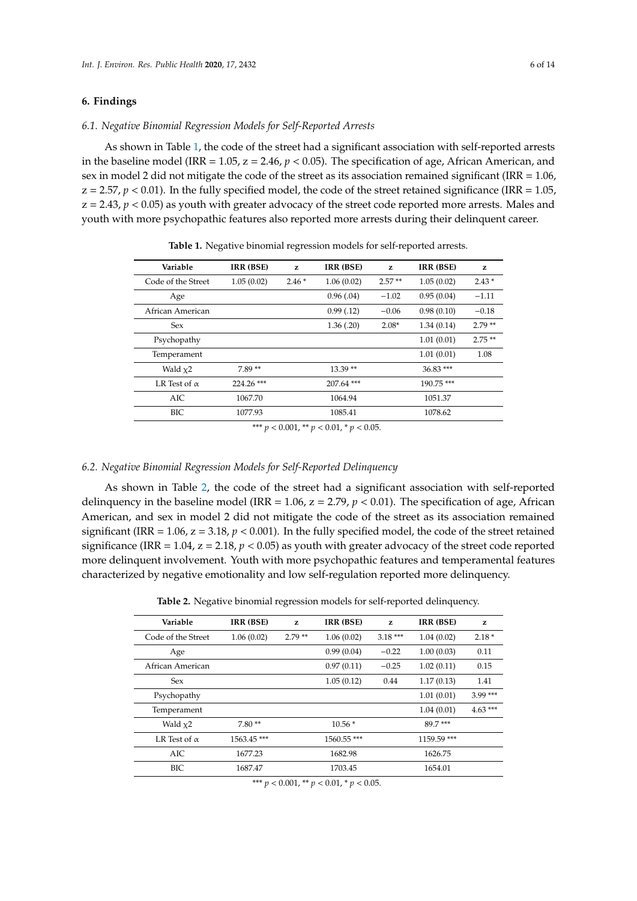### **6. Findings**

#### *6.1. Negative Binomial Regression Models for Self-Reported Arrests*

As shown in Table [1,](#page-5-0) the code of the street had a significant association with self-reported arrests in the baseline model (IRR =  $1.05$ ,  $z = 2.46$ ,  $p < 0.05$ ). The specification of age, African American, and sex in model 2 did not mitigate the code of the street as its association remained significant (IRR = 1.06,  $z = 2.57$ ,  $p < 0.01$ ). In the fully specified model, the code of the street retained significance (IRR = 1.05,  $z = 2.43$ ,  $p < 0.05$ ) as youth with greater advocacy of the street code reported more arrests. Males and youth with more psychopathic features also reported more arrests during their delinquent career.

<span id="page-5-0"></span>

| Variable            | IRR (BSE)  | z       | IRR (BSE)  | z        | IRR (BSE)  | z        |
|---------------------|------------|---------|------------|----------|------------|----------|
| Code of the Street  | 1.05(0.02) | $2.46*$ | 1.06(0.02) | $2.57**$ | 1.05(0.02) | $2.43*$  |
| Age                 |            |         | 0.96(0.04) | $-1.02$  | 0.95(0.04) | $-1.11$  |
| African American    |            |         | 0.99(0.12) | $-0.06$  | 0.98(0.10) | $-0.18$  |
| <b>Sex</b>          |            |         | 1.36(.20)  | $2.08*$  | 1.34(0.14) | $2.79**$ |
| Psychopathy         |            |         |            |          | 1.01(0.01) | $2.75**$ |
| Temperament         |            |         |            |          | 1.01(0.01) | 1.08     |
| Wald $x2$           | $7.89**$   |         | $13.39**$  |          | 36.83***   |          |
| LR Test of $\alpha$ | 224.26 *** |         | 207.64 *** |          | 190.75 *** |          |
| AIC                 | 1067.70    |         | 1064.94    |          | 1051.37    |          |
| BIC                 | 1077.93    |         | 1085.41    |          | 1078.62    |          |
|                     |            |         |            |          |            |          |

**Table 1.** Negative binomial regression models for self-reported arrests.

\*\*\*  $p < 0.001$ , \*\*  $p < 0.01$ , \*  $p < 0.05$ .

#### *6.2. Negative Binomial Regression Models for Self-Reported Delinquency*

As shown in Table [2,](#page-5-1) the code of the street had a significant association with self-reported delinquency in the baseline model (IRR = 1.06,  $z = 2.79$ ,  $p < 0.01$ ). The specification of age, African American, and sex in model 2 did not mitigate the code of the street as its association remained significant (IRR = 1.06,  $z = 3.18$ ,  $p < 0.001$ ). In the fully specified model, the code of the street retained significance (IRR = 1.04,  $z = 2.18$ ,  $p < 0.05$ ) as youth with greater advocacy of the street code reported more delinquent involvement. Youth with more psychopathic features and temperamental features characterized by negative emotionality and low self-regulation reported more delinquency.

**Table 2.** Negative binomial regression models for self-reported delinquency.

<span id="page-5-1"></span>

| Variable            | IRR (BSE)  | z        | IRR (BSE)  | z         | IRR (BSE)   | z         |
|---------------------|------------|----------|------------|-----------|-------------|-----------|
| Code of the Street  | 1.06(0.02) | $2.79**$ | 1.06(0.02) | $3.18***$ | 1.04(0.02)  | $2.18*$   |
| Age                 |            |          | 0.99(0.04) | $-0.22$   | 1.00(0.03)  | 0.11      |
| African American    |            |          | 0.97(0.11) | $-0.25$   | 1.02(0.11)  | 0.15      |
| <b>Sex</b>          |            |          | 1.05(0.12) | 0.44      | 1.17(0.13)  | 1.41      |
| Psychopathy         |            |          |            |           | 1.01(0.01)  | $3.99***$ |
| Temperament         |            |          |            |           | 1.04(0.01)  | $4.63***$ |
| Wald $x2$           | $7.80**$   |          | $10.56*$   |           | 89.7***     |           |
| LR Test of $\alpha$ | 1563.45*** |          | 1560.55*** |           | 1159.59 *** |           |
| AIC                 | 1677.23    |          | 1682.98    |           | 1626.75     |           |
| BIC                 | 1687.47    |          | 1703.45    |           | 1654.01     |           |
|                     |            |          |            |           |             |           |

\*\*\*  $p < 0.001$ , \*\*  $p < 0.01$ , \*  $p < 0.05$ .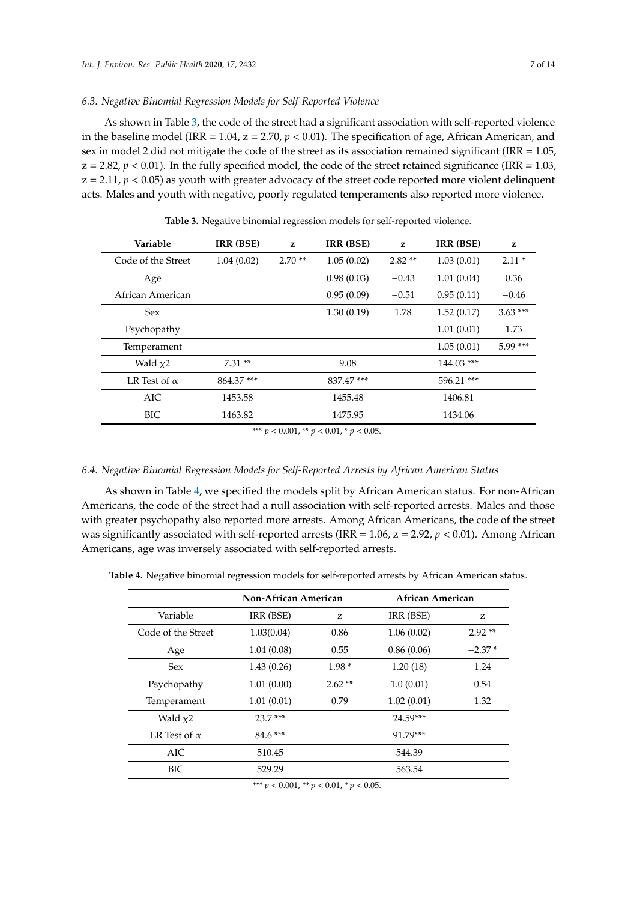#### *6.3. Negative Binomial Regression Models for Self-Reported Violence*

As shown in Table [3,](#page-6-0) the code of the street had a significant association with self-reported violence in the baseline model (IRR = 1.04,  $z = 2.70$ ,  $p < 0.01$ ). The specification of age, African American, and sex in model 2 did not mitigate the code of the street as its association remained significant (IRR = 1.05,  $z = 2.82$ ,  $p < 0.01$ ). In the fully specified model, the code of the street retained significance (IRR = 1.03,  $z = 2.11$ ,  $p < 0.05$ ) as youth with greater advocacy of the street code reported more violent delinquent acts. Males and youth with negative, poorly regulated temperaments also reported more violence.

<span id="page-6-0"></span>

| Variable            | IRR (BSE)  | z        | IRR (BSE)  | z          | IRR (BSE)              | z         |
|---------------------|------------|----------|------------|------------|------------------------|-----------|
| Code of the Street  | 1.04(0.02) | $2.70**$ | 1.05(0.02) | $2.82**$   | 1.03(0.01)             | $2.11*$   |
| Age                 |            |          | 0.98(0.03) | $-0.43$    | 1.01(0.04)             | 0.36      |
| African American    |            |          | 0.95(0.09) | $-0.51$    | 0.95(0.11)             | $-0.46$   |
| <b>Sex</b>          |            |          | 1.30(0.19) | 1.78       | 1.52(0.17)             | $3.63***$ |
| Psychopathy         |            |          |            |            | 1.01(0.01)             | 1.73      |
| Temperament         |            |          |            |            | 5.99 ***<br>1.05(0.01) |           |
| Wald $x^2$          | $7.31**$   |          | 9.08       |            | 144.03 ***             |           |
| LR Test of $\alpha$ | 864.37***  |          | 837.47***  | 596.21 *** |                        |           |
| AIC                 | 1453.58    |          | 1455.48    | 1406.81    |                        |           |
| BIC                 | 1463.82    |          | 1475.95    | 1434.06    |                        |           |

**Table 3.** Negative binomial regression models for self-reported violence.

\*\*\*  $p < 0.001$ , \*\*  $p < 0.01$ , \*  $p < 0.05$ .

## *6.4. Negative Binomial Regression Models for Self-Reported Arrests by African American Status*

As shown in Table [4,](#page-6-1) we specified the models split by African American status. For non-African Americans, the code of the street had a null association with self-reported arrests. Males and those with greater psychopathy also reported more arrests. Among African Americans, the code of the street was significantly associated with self-reported arrests (IRR =  $1.06$ ,  $z = 2.92$ ,  $p < 0.01$ ). Among African Americans, age was inversely associated with self-reported arrests.

<span id="page-6-1"></span>**Table 4.** Negative binomial regression models for self-reported arrests by African American status.

|                     | Non-African American |          | African American |          |  |
|---------------------|----------------------|----------|------------------|----------|--|
| Variable            | IRR (BSE)            | Z        | IRR (BSE)        | Z.       |  |
| Code of the Street  | 1.03(0.04)           | 0.86     | 1.06(0.02)       | $2.92**$ |  |
| Age                 | 1.04(0.08)           | 0.55     | 0.86(0.06)       | $-2.37*$ |  |
| <b>Sex</b>          | 1.43(0.26)           | $1.98*$  | 1.20(18)         | 1.24     |  |
| Psychopathy         | 1.01(0.00)           | $2.62**$ | 1.0(0.01)        | 0.54     |  |
| Temperament         | 1.01(0.01)           | 0.79     | 1.02(0.01)       | 1.32     |  |
| Wald $x2$           | $23.7***$            |          | 24.59***         |          |  |
| LR Test of $\alpha$ | $84.6***$            |          | 91.79***         |          |  |
| AIC                 | 510.45               | 544.39   |                  |          |  |
| BIC                 | 529.29               | 563.54   |                  |          |  |

\*\*\* *p* < 0.001, \*\* *p* < 0.01, \* *p* < 0.05.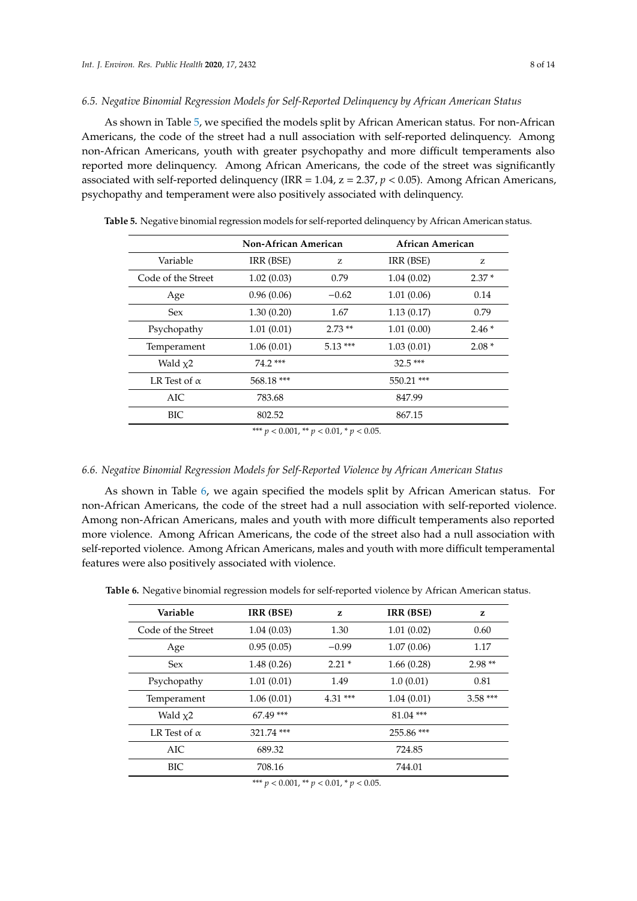#### *6.5. Negative Binomial Regression Models for Self-Reported Delinquency by African American Status*

As shown in Table [5,](#page-7-0) we specified the models split by African American status. For non-African Americans, the code of the street had a null association with self-reported delinquency. Among non-African Americans, youth with greater psychopathy and more difficult temperaments also reported more delinquency. Among African Americans, the code of the street was significantly associated with self-reported delinquency (IRR = 1.04, z = 2.37, *p* < 0.05). Among African Americans, psychopathy and temperament were also positively associated with delinquency.

|                     | <b>Non-African American</b> |                      | African American |         |  |  |
|---------------------|-----------------------------|----------------------|------------------|---------|--|--|
| Variable            | IRR (BSE)                   | IRR (BSE)<br>Z<br>Z. |                  |         |  |  |
| Code of the Street  | 1.02(0.03)                  | 0.79                 | 1.04(0.02)       | $2.37*$ |  |  |
| Age                 | 0.96(0.06)                  | $-0.62$              | 1.01(0.06)       | 0.14    |  |  |
| <b>Sex</b>          | 1.30(0.20)                  | 1.67                 | 1.13(0.17)       | 0.79    |  |  |
| Psychopathy         | 1.01(0.01)                  | $2.73**$             | 1.01(0.00)       | $2.46*$ |  |  |
| Temperament         | 1.06(0.01)                  | $5.13***$            | 1.03(0.01)       | $2.08*$ |  |  |
| Wald $x2$           | 74.2 ***                    |                      | $32.5***$        |         |  |  |
| LR Test of $\alpha$ | $568.18***$                 | 550.21 ***           |                  |         |  |  |
| AIC.                | 783.68                      | 847.99               |                  |         |  |  |
| BIC.                | 802.52                      | 867.15               |                  |         |  |  |

<span id="page-7-0"></span>**Table 5.** Negative binomial regression models for self-reported delinquency by African American status.

\*\*\* *p* < 0.001, \*\* *p* < 0.01, \* *p* < 0.05.

#### *6.6. Negative Binomial Regression Models for Self-Reported Violence by African American Status*

As shown in Table [6,](#page-7-1) we again specified the models split by African American status. For non-African Americans, the code of the street had a null association with self-reported violence. Among non-African Americans, males and youth with more difficult temperaments also reported more violence. Among African Americans, the code of the street also had a null association with self-reported violence. Among African Americans, males and youth with more difficult temperamental features were also positively associated with violence.

<span id="page-7-1"></span>**Table 6.** Negative binomial regression models for self-reported violence by African American status.

| Variable                             | IRR (BSE)   | z                       | IRR (BSE)   | z         |  |  |
|--------------------------------------|-------------|-------------------------|-------------|-----------|--|--|
| Code of the Street                   | 1.04(0.03)  | 1.30                    | 1.01(0.02)  | 0.60      |  |  |
| Age                                  | 0.95(0.05)  | $-0.99$                 | 1.07(0.06)  | 1.17      |  |  |
| <b>Sex</b>                           | 1.48(0.26)  | $2.21*$                 | 1.66(0.28)  | $2.98**$  |  |  |
| Psychopathy                          | 1.01(0.01)  | 1.49                    | 1.0(0.01)   | 0.81      |  |  |
| Temperament                          | 1.06(0.01)  | $4.31***$<br>1.04(0.01) |             | $3.58***$ |  |  |
| Wald $x2$                            | $67.49$ *** |                         | $81.04$ *** |           |  |  |
| LR Test of $\alpha$                  | 321.74 ***  |                         | 255.86 ***  |           |  |  |
| AIC                                  | 689.32      | 724.85                  |             |           |  |  |
| <b>BIC</b>                           | 708.16      | 744.01                  |             |           |  |  |
| $444$ $0.001$ $44$ $0.01$ $4$ $0.07$ |             |                         |             |           |  |  |

\*\*\* *p* < 0.001, \*\* *p* < 0.01, \* *p* < 0.05.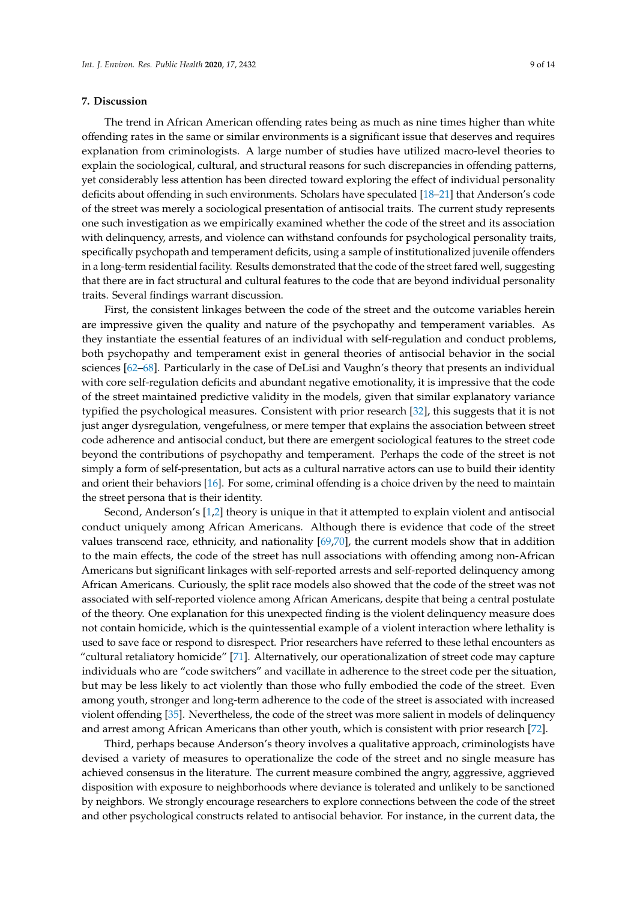#### **7. Discussion**

The trend in African American offending rates being as much as nine times higher than white offending rates in the same or similar environments is a significant issue that deserves and requires explanation from criminologists. A large number of studies have utilized macro-level theories to explain the sociological, cultural, and structural reasons for such discrepancies in offending patterns, yet considerably less attention has been directed toward exploring the effect of individual personality deficits about offending in such environments. Scholars have speculated [\[18–](#page-10-15)[21\]](#page-10-14) that Anderson's code of the street was merely a sociological presentation of antisocial traits. The current study represents one such investigation as we empirically examined whether the code of the street and its association with delinquency, arrests, and violence can withstand confounds for psychological personality traits, specifically psychopath and temperament deficits, using a sample of institutionalized juvenile offenders in a long-term residential facility. Results demonstrated that the code of the street fared well, suggesting that there are in fact structural and cultural features to the code that are beyond individual personality traits. Several findings warrant discussion.

First, the consistent linkages between the code of the street and the outcome variables herein are impressive given the quality and nature of the psychopathy and temperament variables. As they instantiate the essential features of an individual with self-regulation and conduct problems, both psychopathy and temperament exist in general theories of antisocial behavior in the social sciences [\[62–](#page-12-11)[68\]](#page-12-12). Particularly in the case of DeLisi and Vaughn's theory that presents an individual with core self-regulation deficits and abundant negative emotionality, it is impressive that the code of the street maintained predictive validity in the models, given that similar explanatory variance typified the psychological measures. Consistent with prior research [\[32\]](#page-11-9), this suggests that it is not just anger dysregulation, vengefulness, or mere temper that explains the association between street code adherence and antisocial conduct, but there are emergent sociological features to the street code beyond the contributions of psychopathy and temperament. Perhaps the code of the street is not simply a form of self-presentation, but acts as a cultural narrative actors can use to build their identity and orient their behaviors [\[16\]](#page-10-12). For some, criminal offending is a choice driven by the need to maintain the street persona that is their identity.

Second, Anderson's [\[1](#page-10-0)[,2\]](#page-10-1) theory is unique in that it attempted to explain violent and antisocial conduct uniquely among African Americans. Although there is evidence that code of the street values transcend race, ethnicity, and nationality [\[69,](#page-12-13)[70\]](#page-13-0), the current models show that in addition to the main effects, the code of the street has null associations with offending among non-African Americans but significant linkages with self-reported arrests and self-reported delinquency among African Americans. Curiously, the split race models also showed that the code of the street was not associated with self-reported violence among African Americans, despite that being a central postulate of the theory. One explanation for this unexpected finding is the violent delinquency measure does not contain homicide, which is the quintessential example of a violent interaction where lethality is used to save face or respond to disrespect. Prior researchers have referred to these lethal encounters as "cultural retaliatory homicide" [\[71\]](#page-13-1). Alternatively, our operationalization of street code may capture individuals who are "code switchers" and vacillate in adherence to the street code per the situation, but may be less likely to act violently than those who fully embodied the code of the street. Even among youth, stronger and long-term adherence to the code of the street is associated with increased violent offending [\[35\]](#page-11-12). Nevertheless, the code of the street was more salient in models of delinquency and arrest among African Americans than other youth, which is consistent with prior research [\[72\]](#page-13-2).

Third, perhaps because Anderson's theory involves a qualitative approach, criminologists have devised a variety of measures to operationalize the code of the street and no single measure has achieved consensus in the literature. The current measure combined the angry, aggressive, aggrieved disposition with exposure to neighborhoods where deviance is tolerated and unlikely to be sanctioned by neighbors. We strongly encourage researchers to explore connections between the code of the street and other psychological constructs related to antisocial behavior. For instance, in the current data, the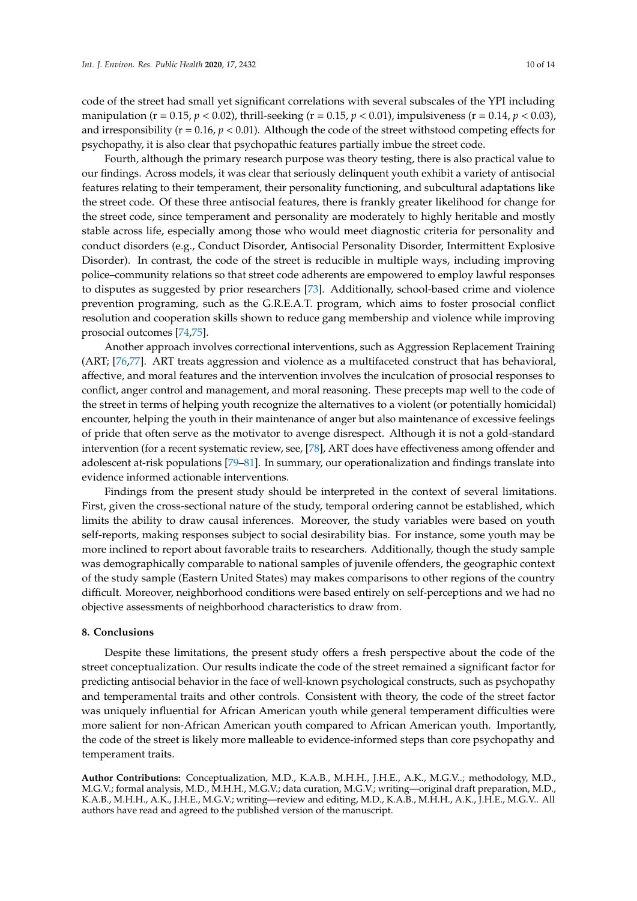code of the street had small yet significant correlations with several subscales of the YPI including manipulation (r = 0.15, *p* < 0.02), thrill-seeking (r = 0.15, *p* < 0.01), impulsiveness (r = 0.14, *p* < 0.03), and irresponsibility (r = 0.16, *p* < 0.01). Although the code of the street withstood competing effects for psychopathy, it is also clear that psychopathic features partially imbue the street code.

Fourth, although the primary research purpose was theory testing, there is also practical value to our findings. Across models, it was clear that seriously delinquent youth exhibit a variety of antisocial features relating to their temperament, their personality functioning, and subcultural adaptations like the street code. Of these three antisocial features, there is frankly greater likelihood for change for the street code, since temperament and personality are moderately to highly heritable and mostly stable across life, especially among those who would meet diagnostic criteria for personality and conduct disorders (e.g., Conduct Disorder, Antisocial Personality Disorder, Intermittent Explosive Disorder). In contrast, the code of the street is reducible in multiple ways, including improving police–community relations so that street code adherents are empowered to employ lawful responses to disputes as suggested by prior researchers [\[73\]](#page-13-3). Additionally, school-based crime and violence prevention programing, such as the G.R.E.A.T. program, which aims to foster prosocial conflict resolution and cooperation skills shown to reduce gang membership and violence while improving prosocial outcomes [\[74](#page-13-4)[,75\]](#page-13-5).

Another approach involves correctional interventions, such as Aggression Replacement Training (ART; [\[76,](#page-13-6)[77\]](#page-13-7). ART treats aggression and violence as a multifaceted construct that has behavioral, affective, and moral features and the intervention involves the inculcation of prosocial responses to conflict, anger control and management, and moral reasoning. These precepts map well to the code of the street in terms of helping youth recognize the alternatives to a violent (or potentially homicidal) encounter, helping the youth in their maintenance of anger but also maintenance of excessive feelings of pride that often serve as the motivator to avenge disrespect. Although it is not a gold-standard intervention (for a recent systematic review, see, [\[78\]](#page-13-8), ART does have effectiveness among offender and adolescent at-risk populations [\[79](#page-13-9)[–81\]](#page-13-10). In summary, our operationalization and findings translate into evidence informed actionable interventions.

Findings from the present study should be interpreted in the context of several limitations. First, given the cross-sectional nature of the study, temporal ordering cannot be established, which limits the ability to draw causal inferences. Moreover, the study variables were based on youth self-reports, making responses subject to social desirability bias. For instance, some youth may be more inclined to report about favorable traits to researchers. Additionally, though the study sample was demographically comparable to national samples of juvenile offenders, the geographic context of the study sample (Eastern United States) may makes comparisons to other regions of the country difficult. Moreover, neighborhood conditions were based entirely on self-perceptions and we had no objective assessments of neighborhood characteristics to draw from.

#### **8. Conclusions**

Despite these limitations, the present study offers a fresh perspective about the code of the street conceptualization. Our results indicate the code of the street remained a significant factor for predicting antisocial behavior in the face of well-known psychological constructs, such as psychopathy and temperamental traits and other controls. Consistent with theory, the code of the street factor was uniquely influential for African American youth while general temperament difficulties were more salient for non-African American youth compared to African American youth. Importantly, the code of the street is likely more malleable to evidence-informed steps than core psychopathy and temperament traits.

**Author Contributions:** Conceptualization, M.D., K.A.B., M.H.H., J.H.E., A.K., M.G.V..; methodology, M.D., M.G.V.; formal analysis, M.D., M.H.H., M.G.V.; data curation, M.G.V.; writing—original draft preparation, M.D., K.A.B., M.H.H., A.K., J.H.E., M.G.V.; writing—review and editing, M.D., K.A.B., M.H.H., A.K., J.H.E., M.G.V.. All authors have read and agreed to the published version of the manuscript.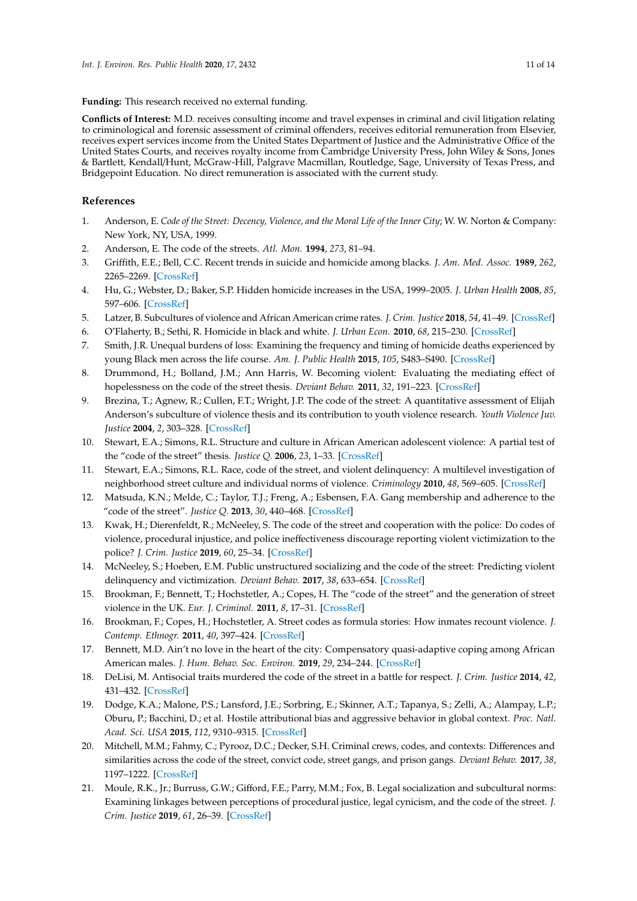**Funding:** This research received no external funding.

**Conflicts of Interest:** M.D. receives consulting income and travel expenses in criminal and civil litigation relating to criminological and forensic assessment of criminal offenders, receives editorial remuneration from Elsevier, receives expert services income from the United States Department of Justice and the Administrative Office of the United States Courts, and receives royalty income from Cambridge University Press, John Wiley & Sons, Jones & Bartlett, Kendall/Hunt, McGraw-Hill, Palgrave Macmillan, Routledge, Sage, University of Texas Press, and Bridgepoint Education. No direct remuneration is associated with the current study.

## **References**

- <span id="page-10-0"></span>1. Anderson, E. *Code of the Street: Decency, Violence, and the Moral Life of the Inner City*; W. W. Norton & Company: New York, NY, USA, 1999.
- <span id="page-10-1"></span>2. Anderson, E. The code of the streets. *Atl. Mon.* **1994**, *273*, 81–94.
- <span id="page-10-2"></span>3. Griffith, E.E.; Bell, C.C. Recent trends in suicide and homicide among blacks. *J. Am. Med. Assoc.* **1989**, *262*, 2265–2269. [\[CrossRef\]](http://dx.doi.org/10.1001/jama.1989.03430160087036)
- 4. Hu, G.; Webster, D.; Baker, S.P. Hidden homicide increases in the USA, 1999–2005. *J. Urban Health* **2008**, *85*, 597–606. [\[CrossRef\]](http://dx.doi.org/10.1007/s11524-008-9287-6)
- 5. Latzer, B. Subcultures of violence and African American crime rates. *J. Crim. Justice* **2018**, *54*, 41–49. [\[CrossRef\]](http://dx.doi.org/10.1016/j.jcrimjus.2017.12.006)
- 6. O'Flaherty, B.; Sethi, R. Homicide in black and white. *J. Urban Econ.* **2010**, *68*, 215–230. [\[CrossRef\]](http://dx.doi.org/10.1016/j.jue.2010.06.001)
- <span id="page-10-3"></span>7. Smith, J.R. Unequal burdens of loss: Examining the frequency and timing of homicide deaths experienced by young Black men across the life course. *Am. J. Public Health* **2015**, *105*, S483–S490. [\[CrossRef\]](http://dx.doi.org/10.2105/AJPH.2014.302535)
- <span id="page-10-4"></span>8. Drummond, H.; Bolland, J.M.; Ann Harris, W. Becoming violent: Evaluating the mediating effect of hopelessness on the code of the street thesis. *Deviant Behav.* **2011**, *32*, 191–223. [\[CrossRef\]](http://dx.doi.org/10.1080/01639621003748746)
- <span id="page-10-5"></span>9. Brezina, T.; Agnew, R.; Cullen, F.T.; Wright, J.P. The code of the street: A quantitative assessment of Elijah Anderson's subculture of violence thesis and its contribution to youth violence research. *Youth Violence Juv. Justice* **2004**, *2*, 303–328. [\[CrossRef\]](http://dx.doi.org/10.1177/1541204004267780)
- <span id="page-10-6"></span>10. Stewart, E.A.; Simons, R.L. Structure and culture in African American adolescent violence: A partial test of the "code of the street" thesis. *Justice Q.* **2006**, *23*, 1–33. [\[CrossRef\]](http://dx.doi.org/10.1080/07418820600552378)
- <span id="page-10-7"></span>11. Stewart, E.A.; Simons, R.L. Race, code of the street, and violent delinquency: A multilevel investigation of neighborhood street culture and individual norms of violence. *Criminology* **2010**, *48*, 569–605. [\[CrossRef\]](http://dx.doi.org/10.1111/j.1745-9125.2010.00196.x)
- <span id="page-10-8"></span>12. Matsuda, K.N.; Melde, C.; Taylor, T.J.; Freng, A.; Esbensen, F.A. Gang membership and adherence to the "code of the street". *Justice Q.* **2013**, *30*, 440–468. [\[CrossRef\]](http://dx.doi.org/10.1080/07418825.2012.684432)
- <span id="page-10-9"></span>13. Kwak, H.; Dierenfeldt, R.; McNeeley, S. The code of the street and cooperation with the police: Do codes of violence, procedural injustice, and police ineffectiveness discourage reporting violent victimization to the police? *J. Crim. Justice* **2019**, *60*, 25–34. [\[CrossRef\]](http://dx.doi.org/10.1016/j.jcrimjus.2018.11.001)
- <span id="page-10-10"></span>14. McNeeley, S.; Hoeben, E.M. Public unstructured socializing and the code of the street: Predicting violent delinquency and victimization. *Deviant Behav.* **2017**, *38*, 633–654. [\[CrossRef\]](http://dx.doi.org/10.1080/01639625.2016.1197604)
- <span id="page-10-11"></span>15. Brookman, F.; Bennett, T.; Hochstetler, A.; Copes, H. The "code of the street" and the generation of street violence in the UK. *Eur. J. Criminol.* **2011**, *8*, 17–31. [\[CrossRef\]](http://dx.doi.org/10.1177/1477370810382259)
- <span id="page-10-12"></span>16. Brookman, F.; Copes, H.; Hochstetler, A. Street codes as formula stories: How inmates recount violence. *J. Contemp. Ethnogr.* **2011**, *40*, 397–424. [\[CrossRef\]](http://dx.doi.org/10.1177/0891241611408307)
- <span id="page-10-13"></span>17. Bennett, M.D. Ain't no love in the heart of the city: Compensatory quasi-adaptive coping among African American males. *J. Hum. Behav. Soc. Environ.* **2019**, *29*, 234–244. [\[CrossRef\]](http://dx.doi.org/10.1080/10911359.2018.1503986)
- <span id="page-10-15"></span>18. DeLisi, M. Antisocial traits murdered the code of the street in a battle for respect. *J. Crim. Justice* **2014**, *42*, 431–432. [\[CrossRef\]](http://dx.doi.org/10.1016/j.jcrimjus.2014.09.001)
- 19. Dodge, K.A.; Malone, P.S.; Lansford, J.E.; Sorbring, E.; Skinner, A.T.; Tapanya, S.; Zelli, A.; Alampay, L.P.; Oburu, P.; Bacchini, D.; et al. Hostile attributional bias and aggressive behavior in global context. *Proc. Natl. Acad. Sci. USA* **2015**, *112*, 9310–9315. [\[CrossRef\]](http://dx.doi.org/10.1073/pnas.1418572112)
- 20. Mitchell, M.M.; Fahmy, C.; Pyrooz, D.C.; Decker, S.H. Criminal crews, codes, and contexts: Differences and similarities across the code of the street, convict code, street gangs, and prison gangs. *Deviant Behav.* **2017**, *38*, 1197–1222. [\[CrossRef\]](http://dx.doi.org/10.1080/01639625.2016.1246028)
- <span id="page-10-14"></span>21. Moule, R.K., Jr.; Burruss, G.W.; Gifford, F.E.; Parry, M.M.; Fox, B. Legal socialization and subcultural norms: Examining linkages between perceptions of procedural justice, legal cynicism, and the code of the street. *J. Crim. Justice* **2019**, *61*, 26–39. [\[CrossRef\]](http://dx.doi.org/10.1016/j.jcrimjus.2019.03.001)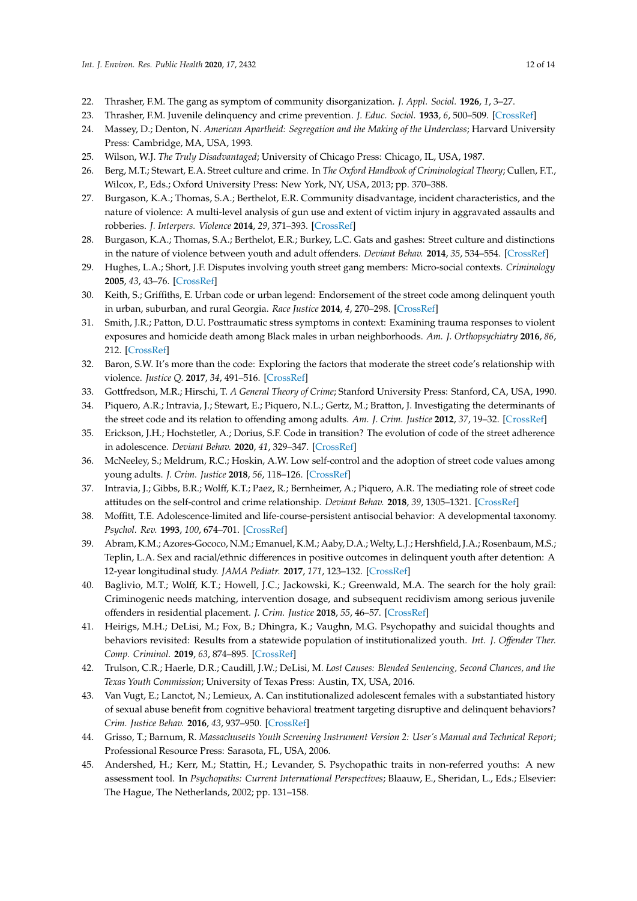- <span id="page-11-0"></span>22. Thrasher, F.M. The gang as symptom of community disorganization. *J. Appl. Sociol.* **1926**, *1*, 3–27.
- <span id="page-11-1"></span>23. Thrasher, F.M. Juvenile delinquency and crime prevention. *J. Educ. Sociol.* **1933**, *6*, 500–509. [\[CrossRef\]](http://dx.doi.org/10.2307/2961696)
- <span id="page-11-2"></span>24. Massey, D.; Denton, N. *American Apartheid: Segregation and the Making of the Underclass*; Harvard University Press: Cambridge, MA, USA, 1993.
- <span id="page-11-3"></span>25. Wilson, W.J. *The Truly Disadvantaged*; University of Chicago Press: Chicago, IL, USA, 1987.
- <span id="page-11-4"></span>26. Berg, M.T.; Stewart, E.A. Street culture and crime. In *The Oxford Handbook of Criminological Theory*; Cullen, F.T., Wilcox, P., Eds.; Oxford University Press: New York, NY, USA, 2013; pp. 370–388.
- <span id="page-11-5"></span>27. Burgason, K.A.; Thomas, S.A.; Berthelot, E.R. Community disadvantage, incident characteristics, and the nature of violence: A multi-level analysis of gun use and extent of victim injury in aggravated assaults and robberies. *J. Interpers. Violence* **2014**, *29*, 371–393. [\[CrossRef\]](http://dx.doi.org/10.1177/0886260513505212)
- 28. Burgason, K.A.; Thomas, S.A.; Berthelot, E.R.; Burkey, L.C. Gats and gashes: Street culture and distinctions in the nature of violence between youth and adult offenders. *Deviant Behav.* **2014**, *35*, 534–554. [\[CrossRef\]](http://dx.doi.org/10.1080/01639625.2013.862032)
- <span id="page-11-6"></span>29. Hughes, L.A.; Short, J.F. Disputes involving youth street gang members: Micro-social contexts. *Criminology* **2005**, *43*, 43–76. [\[CrossRef\]](http://dx.doi.org/10.1111/j.0011-1348.2005.00002.x)
- <span id="page-11-7"></span>30. Keith, S.; Griffiths, E. Urban code or urban legend: Endorsement of the street code among delinquent youth in urban, suburban, and rural Georgia. *Race Justice* **2014**, *4*, 270–298. [\[CrossRef\]](http://dx.doi.org/10.1177/2153368713500318)
- <span id="page-11-8"></span>31. Smith, J.R.; Patton, D.U. Posttraumatic stress symptoms in context: Examining trauma responses to violent exposures and homicide death among Black males in urban neighborhoods. *Am. J. Orthopsychiatry* **2016**, *86*, 212. [\[CrossRef\]](http://dx.doi.org/10.1037/ort0000101)
- <span id="page-11-9"></span>32. Baron, S.W. It's more than the code: Exploring the factors that moderate the street code's relationship with violence. *Justice Q.* **2017**, *34*, 491–516. [\[CrossRef\]](http://dx.doi.org/10.1080/07418825.2016.1182198)
- <span id="page-11-10"></span>33. Gottfredson, M.R.; Hirschi, T. *A General Theory of Crime*; Stanford University Press: Stanford, CA, USA, 1990.
- <span id="page-11-11"></span>34. Piquero, A.R.; Intravia, J.; Stewart, E.; Piquero, N.L.; Gertz, M.; Bratton, J. Investigating the determinants of the street code and its relation to offending among adults. *Am. J. Crim. Justice* **2012**, *37*, 19–32. [\[CrossRef\]](http://dx.doi.org/10.1007/s12103-011-9115-5)
- <span id="page-11-12"></span>35. Erickson, J.H.; Hochstetler, A.; Dorius, S.F. Code in transition? The evolution of code of the street adherence in adolescence. *Deviant Behav.* **2020**, *41*, 329–347. [\[CrossRef\]](http://dx.doi.org/10.1080/01639625.2019.1565520)
- <span id="page-11-13"></span>36. McNeeley, S.; Meldrum, R.C.; Hoskin, A.W. Low self-control and the adoption of street code values among young adults. *J. Crim. Justice* **2018**, *56*, 118–126. [\[CrossRef\]](http://dx.doi.org/10.1016/j.jcrimjus.2017.07.004)
- <span id="page-11-14"></span>37. Intravia, J.; Gibbs, B.R.; Wolff, K.T.; Paez, R.; Bernheimer, A.; Piquero, A.R. The mediating role of street code attitudes on the self-control and crime relationship. *Deviant Behav.* **2018**, *39*, 1305–1321. [\[CrossRef\]](http://dx.doi.org/10.1080/01639625.2017.1410611)
- <span id="page-11-15"></span>38. Moffitt, T.E. Adolescence-limited and life-course-persistent antisocial behavior: A developmental taxonomy. *Psychol. Rev.* **1993**, *100*, 674–701. [\[CrossRef\]](http://dx.doi.org/10.1037/0033-295X.100.4.674)
- <span id="page-11-16"></span>39. Abram, K.M.; Azores-Gococo, N.M.; Emanuel, K.M.; Aaby, D.A.; Welty, L.J.; Hershfield, J.A.; Rosenbaum, M.S.; Teplin, L.A. Sex and racial/ethnic differences in positive outcomes in delinquent youth after detention: A 12-year longitudinal study. *JAMA Pediatr.* **2017**, *171*, 123–132. [\[CrossRef\]](http://dx.doi.org/10.1001/jamapediatrics.2016.3260)
- 40. Baglivio, M.T.; Wolff, K.T.; Howell, J.C.; Jackowski, K.; Greenwald, M.A. The search for the holy grail: Criminogenic needs matching, intervention dosage, and subsequent recidivism among serious juvenile offenders in residential placement. *J. Crim. Justice* **2018**, *55*, 46–57. [\[CrossRef\]](http://dx.doi.org/10.1016/j.jcrimjus.2018.02.001)
- 41. Heirigs, M.H.; DeLisi, M.; Fox, B.; Dhingra, K.; Vaughn, M.G. Psychopathy and suicidal thoughts and behaviors revisited: Results from a statewide population of institutionalized youth. *Int. J. O*ff*ender Ther. Comp. Criminol.* **2019**, *63*, 874–895. [\[CrossRef\]](http://dx.doi.org/10.1177/0306624X18812533)
- 42. Trulson, C.R.; Haerle, D.R.; Caudill, J.W.; DeLisi, M. *Lost Causes: Blended Sentencing, Second Chances, and the Texas Youth Commission*; University of Texas Press: Austin, TX, USA, 2016.
- <span id="page-11-17"></span>43. Van Vugt, E.; Lanctot, N.; Lemieux, A. Can institutionalized adolescent females with a substantiated history of sexual abuse benefit from cognitive behavioral treatment targeting disruptive and delinquent behaviors? *Crim. Justice Behav.* **2016**, *43*, 937–950. [\[CrossRef\]](http://dx.doi.org/10.1177/0093854815624513)
- <span id="page-11-18"></span>44. Grisso, T.; Barnum, R. *Massachusetts Youth Screening Instrument Version 2: User's Manual and Technical Report*; Professional Resource Press: Sarasota, FL, USA, 2006.
- <span id="page-11-19"></span>45. Andershed, H.; Kerr, M.; Stattin, H.; Levander, S. Psychopathic traits in non-referred youths: A new assessment tool. In *Psychopaths: Current International Perspectives*; Blaauw, E., Sheridan, L., Eds.; Elsevier: The Hague, The Netherlands, 2002; pp. 131–158.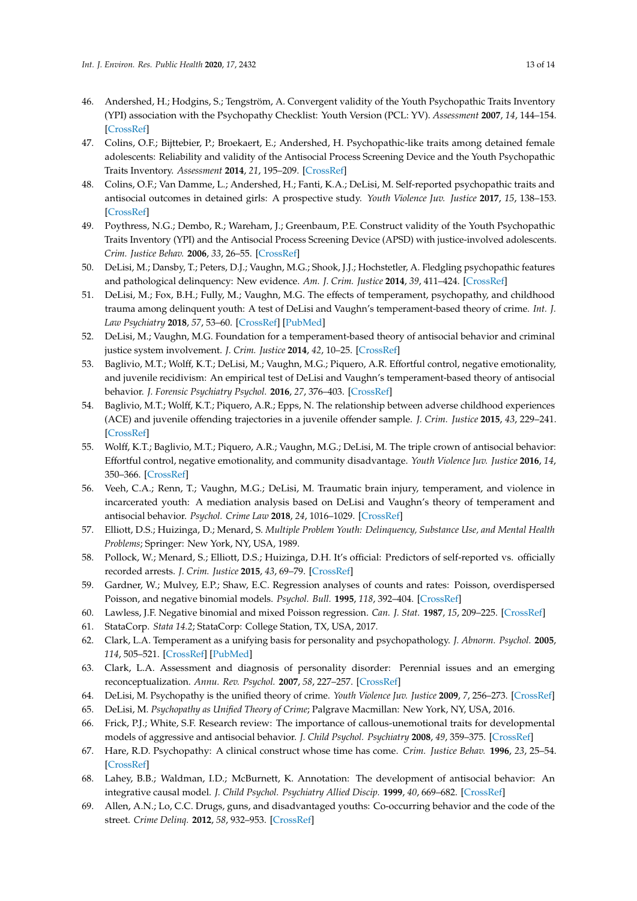- <span id="page-12-0"></span>46. Andershed, H.; Hodgins, S.; Tengström, A. Convergent validity of the Youth Psychopathic Traits Inventory (YPI) association with the Psychopathy Checklist: Youth Version (PCL: YV). *Assessment* **2007**, *14*, 144–154. [\[CrossRef\]](http://dx.doi.org/10.1177/1073191106298286)
- 47. Colins, O.F.; Bijttebier, P.; Broekaert, E.; Andershed, H. Psychopathic-like traits among detained female adolescents: Reliability and validity of the Antisocial Process Screening Device and the Youth Psychopathic Traits Inventory. *Assessment* **2014**, *21*, 195–209. [\[CrossRef\]](http://dx.doi.org/10.1177/1073191113481997)
- 48. Colins, O.F.; Van Damme, L.; Andershed, H.; Fanti, K.A.; DeLisi, M. Self-reported psychopathic traits and antisocial outcomes in detained girls: A prospective study. *Youth Violence Juv. Justice* **2017**, *15*, 138–153. [\[CrossRef\]](http://dx.doi.org/10.1177/1541204015619659)
- 49. Poythress, N.G.; Dembo, R.; Wareham, J.; Greenbaum, P.E. Construct validity of the Youth Psychopathic Traits Inventory (YPI) and the Antisocial Process Screening Device (APSD) with justice-involved adolescents. *Crim. Justice Behav.* **2006**, *33*, 26–55. [\[CrossRef\]](http://dx.doi.org/10.1177/0093854805282518)
- <span id="page-12-1"></span>50. DeLisi, M.; Dansby, T.; Peters, D.J.; Vaughn, M.G.; Shook, J.J.; Hochstetler, A. Fledgling psychopathic features and pathological delinquency: New evidence. *Am. J. Crim. Justice* **2014**, *39*, 411–424. [\[CrossRef\]](http://dx.doi.org/10.1007/s12103-013-9218-2)
- <span id="page-12-2"></span>51. DeLisi, M.; Fox, B.H.; Fully, M.; Vaughn, M.G. The effects of temperament, psychopathy, and childhood trauma among delinquent youth: A test of DeLisi and Vaughn's temperament-based theory of crime. *Int. J. Law Psychiatry* **2018**, *57*, 53–60. [\[CrossRef\]](http://dx.doi.org/10.1016/j.ijlp.2018.01.006) [\[PubMed\]](http://www.ncbi.nlm.nih.gov/pubmed/29548504)
- <span id="page-12-3"></span>52. DeLisi, M.; Vaughn, M.G. Foundation for a temperament-based theory of antisocial behavior and criminal justice system involvement. *J. Crim. Justice* **2014**, *42*, 10–25. [\[CrossRef\]](http://dx.doi.org/10.1016/j.jcrimjus.2013.11.001)
- <span id="page-12-4"></span>53. Baglivio, M.T.; Wolff, K.T.; DeLisi, M.; Vaughn, M.G.; Piquero, A.R. Effortful control, negative emotionality, and juvenile recidivism: An empirical test of DeLisi and Vaughn's temperament-based theory of antisocial behavior. *J. Forensic Psychiatry Psychol.* **2016**, *27*, 376–403. [\[CrossRef\]](http://dx.doi.org/10.1080/14789949.2016.1145720)
- 54. Baglivio, M.T.; Wolff, K.T.; Piquero, A.R.; Epps, N. The relationship between adverse childhood experiences (ACE) and juvenile offending trajectories in a juvenile offender sample. *J. Crim. Justice* **2015**, *43*, 229–241. [\[CrossRef\]](http://dx.doi.org/10.1016/j.jcrimjus.2015.04.012)
- 55. Wolff, K.T.; Baglivio, M.T.; Piquero, A.R.; Vaughn, M.G.; DeLisi, M. The triple crown of antisocial behavior: Effortful control, negative emotionality, and community disadvantage. *Youth Violence Juv. Justice* **2016**, *14*, 350–366. [\[CrossRef\]](http://dx.doi.org/10.1177/1541204015599042)
- <span id="page-12-5"></span>56. Veeh, C.A.; Renn, T.; Vaughn, M.G.; DeLisi, M. Traumatic brain injury, temperament, and violence in incarcerated youth: A mediation analysis based on DeLisi and Vaughn's theory of temperament and antisocial behavior. *Psychol. Crime Law* **2018**, *24*, 1016–1029. [\[CrossRef\]](http://dx.doi.org/10.1080/1068316X.2018.1497632)
- <span id="page-12-6"></span>57. Elliott, D.S.; Huizinga, D.; Menard, S. *Multiple Problem Youth: Delinquency, Substance Use, and Mental Health Problems*; Springer: New York, NY, USA, 1989.
- <span id="page-12-7"></span>58. Pollock, W.; Menard, S.; Elliott, D.S.; Huizinga, D.H. It's official: Predictors of self-reported vs. officially recorded arrests. *J. Crim. Justice* **2015**, *43*, 69–79. [\[CrossRef\]](http://dx.doi.org/10.1016/j.jcrimjus.2014.12.004)
- <span id="page-12-8"></span>59. Gardner, W.; Mulvey, E.P.; Shaw, E.C. Regression analyses of counts and rates: Poisson, overdispersed Poisson, and negative binomial models. *Psychol. Bull.* **1995**, *118*, 392–404. [\[CrossRef\]](http://dx.doi.org/10.1037/0033-2909.118.3.392)
- <span id="page-12-9"></span>60. Lawless, J.F. Negative binomial and mixed Poisson regression. *Can. J. Stat.* **1987**, *15*, 209–225. [\[CrossRef\]](http://dx.doi.org/10.2307/3314912)
- <span id="page-12-10"></span>61. StataCorp. *Stata 14.2*; StataCorp: College Station, TX, USA, 2017.
- <span id="page-12-11"></span>62. Clark, L.A. Temperament as a unifying basis for personality and psychopathology. *J. Abnorm. Psychol.* **2005**, *114*, 505–521. [\[CrossRef\]](http://dx.doi.org/10.1037/0021-843X.114.4.505) [\[PubMed\]](http://www.ncbi.nlm.nih.gov/pubmed/16351374)
- 63. Clark, L.A. Assessment and diagnosis of personality disorder: Perennial issues and an emerging reconceptualization. *Annu. Rev. Psychol.* **2007**, *58*, 227–257. [\[CrossRef\]](http://dx.doi.org/10.1146/annurev.psych.57.102904.190200)
- 64. DeLisi, M. Psychopathy is the unified theory of crime. *Youth Violence Juv. Justice* **2009**, *7*, 256–273. [\[CrossRef\]](http://dx.doi.org/10.1177/1541204009333834)
- 65. DeLisi, M. *Psychopathy as Unified Theory of Crime*; Palgrave Macmillan: New York, NY, USA, 2016.
- 66. Frick, P.J.; White, S.F. Research review: The importance of callous-unemotional traits for developmental models of aggressive and antisocial behavior. *J. Child Psychol. Psychiatry* **2008**, *49*, 359–375. [\[CrossRef\]](http://dx.doi.org/10.1111/j.1469-7610.2007.01862.x)
- 67. Hare, R.D. Psychopathy: A clinical construct whose time has come. *Crim. Justice Behav.* **1996**, *23*, 25–54. [\[CrossRef\]](http://dx.doi.org/10.1177/0093854896023001004)
- <span id="page-12-12"></span>68. Lahey, B.B.; Waldman, I.D.; McBurnett, K. Annotation: The development of antisocial behavior: An integrative causal model. *J. Child Psychol. Psychiatry Allied Discip.* **1999**, *40*, 669–682. [\[CrossRef\]](http://dx.doi.org/10.1111/1469-7610.00484)
- <span id="page-12-13"></span>69. Allen, A.N.; Lo, C.C. Drugs, guns, and disadvantaged youths: Co-occurring behavior and the code of the street. *Crime Delinq.* **2012**, *58*, 932–953. [\[CrossRef\]](http://dx.doi.org/10.1177/0011128709359652)